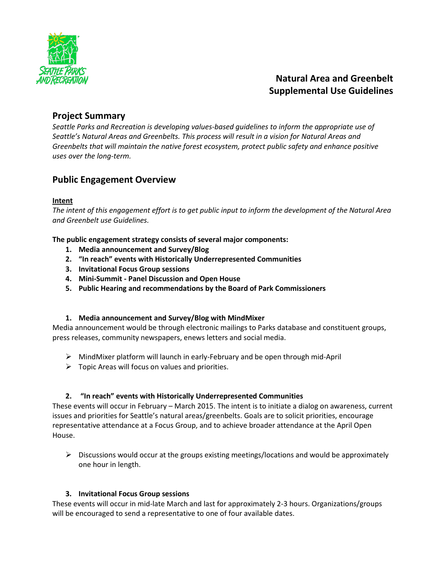

# **Natural Area and Greenbelt Supplemental Use Guidelines**

## **Project Summary**

*Seattle Parks and Recreation is developing values-based guidelines to inform the appropriate use of Seattle's Natural Areas and Greenbelts. This process will result in a vision for Natural Areas and Greenbelts that will maintain the native forest ecosystem, protect public safety and enhance positive uses over the long-term.*

# **Public Engagement Overview**

### **Intent**

*The intent of this engagement effort is to get public input to inform the development of the Natural Area and Greenbelt use Guidelines.*

**The public engagement strategy consists of several major components:**

- **1. Media announcement and Survey/Blog**
- **2. "In reach" events with Historically Underrepresented Communities**
- **3. Invitational Focus Group sessions**
- **4. Mini-Summit - Panel Discussion and Open House**
- **5. Public Hearing and recommendations by the Board of Park Commissioners**

### **1. Media announcement and Survey/Blog with MindMixer**

Media announcement would be through electronic mailings to Parks database and constituent groups, press releases, community newspapers, enews letters and social media.

- $\triangleright$  MindMixer platform will launch in early-February and be open through mid-April
- $\triangleright$  Topic Areas will focus on values and priorities.

#### **2. "In reach" events with Historically Underrepresented Communities**

These events will occur in February – March 2015. The intent is to initiate a dialog on awareness, current issues and priorities for Seattle's natural areas/greenbelts. Goals are to solicit priorities, encourage representative attendance at a Focus Group, and to achieve broader attendance at the April Open House.

 $\triangleright$  Discussions would occur at the groups existing meetings/locations and would be approximately one hour in length.

#### **3. Invitational Focus Group sessions**

These events will occur in mid-late March and last for approximately 2-3 hours. Organizations/groups will be encouraged to send a representative to one of four available dates.